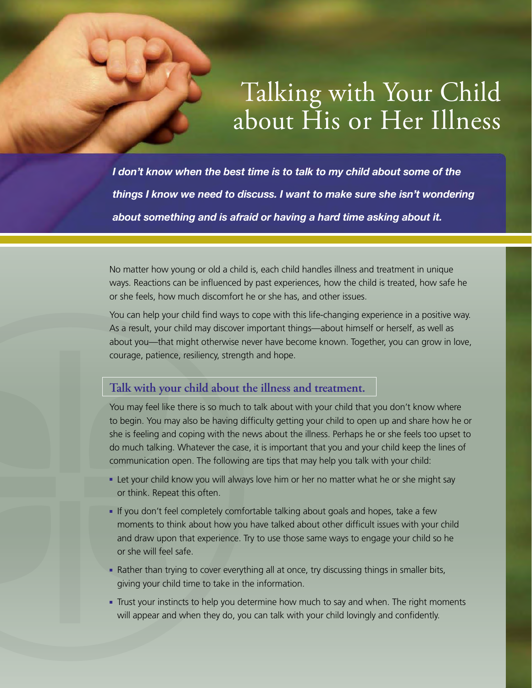## Talking with Your Child about His or Her Illness

*I don't know when the best time is to talk to my child about some of the things I know we need to discuss. I want to make sure she isn't wondering about something and is afraid or having a hard time asking about it.* 

No matter how young or old a child is, each child handles illness and treatment in unique ways. Reactions can be influenced by past experiences, how the child is treated, how safe he or she feels, how much discomfort he or she has, and other issues.

You can help your child find ways to cope with this life-changing experience in a positive way. As a result, your child may discover important things—about himself or herself, as well as about you—that might otherwise never have become known. Together, you can grow in love, courage, patience, resiliency, strength and hope.

## **Talk with your child about the illness and treatment.**

You may feel like there is so much to talk about with your child that you don't know where to begin. You may also be having difficulty getting your child to open up and share how he or she is feeling and coping with the news about the illness. Perhaps he or she feels too upset to do much talking. Whatever the case, it is important that you and your child keep the lines of communication open. The following are tips that may help you talk with your child:

- Let your child know you will always love him or her no matter what he or she might say or think. Repeat this often.
- If you don't feel completely comfortable talking about goals and hopes, take a few moments to think about how you have talked about other difficult issues with your child and draw upon that experience. Try to use those same ways to engage your child so he or she will feel safe.
- Rather than trying to cover everything all at once, try discussing things in smaller bits, giving your child time to take in the information.
- Trust your instincts to help you determine how much to say and when. The right moments will appear and when they do, you can talk with your child lovingly and confidently.